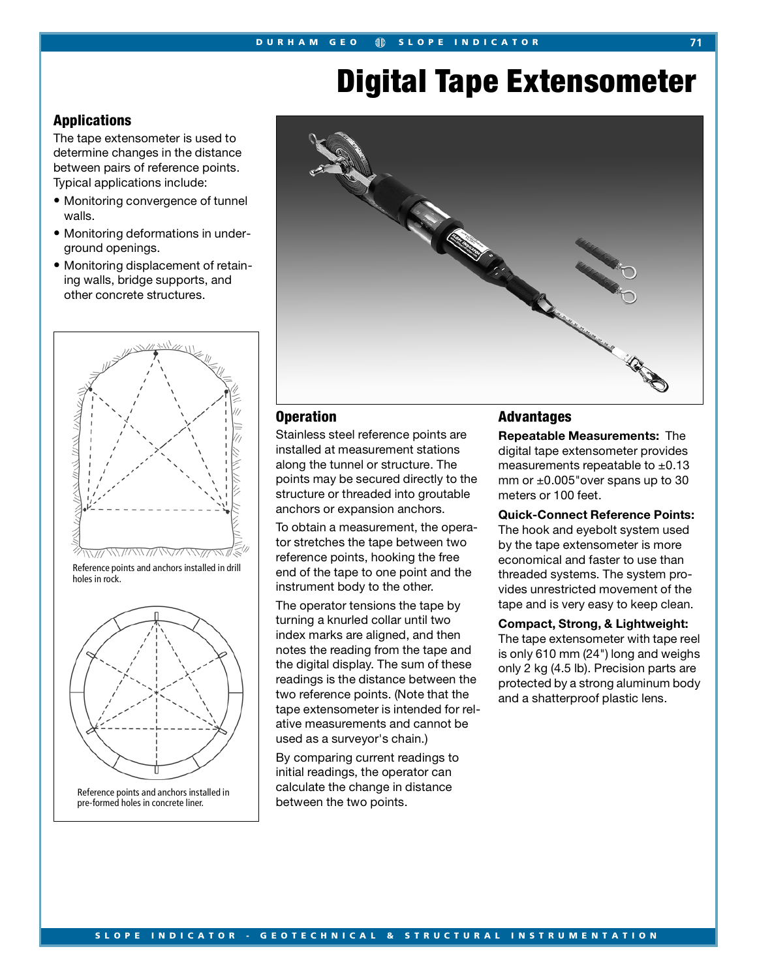# **Digital Tape Extensometer**

## **Applications**

The tape extensometer is used to determine changes in the distance between pairs of reference points. Typical applications include:

- Monitoring convergence of tunnel walls.
- Monitoring deformations in underground openings.
- Monitoring displacement of retaining walls, bridge supports, and other concrete structures.



Reference points and anchors installed in drill holes in rock.



Reference points and anchors installed in pre-formed holes in concrete liner.



## **Operation**

Stainless steel reference points are installed at measurement stations along the tunnel or structure. The points may be secured directly to the structure or threaded into groutable anchors or expansion anchors.

To obtain a measurement, the operator stretches the tape between two reference points, hooking the free end of the tape to one point and the instrument body to the other.

The operator tensions the tape by turning a knurled collar until two index marks are aligned, and then notes the reading from the tape and the digital display. The sum of these readings is the distance between the two reference points. (Note that the tape extensometer is intended for relative measurements and cannot be used as a surveyor's chain.)

By comparing current readings to initial readings, the operator can calculate the change in distance between the two points.

## **Advantages**

**Repeatable Measurements:** The digital tape extensometer provides measurements repeatable to  $\pm 0.13$ mm or  $\pm 0.005$ "over spans up to 30 meters or 100 feet.

**Quick-Connect Reference Points:** The hook and eyebolt system used by the tape extensometer is more economical and faster to use than threaded systems. The system provides unrestricted movement of the tape and is very easy to keep clean.

## **Compact, Strong, & Lightweight:**

The tape extensometer with tape reel is only 610 mm (24") long and weighs only 2 kg (4.5 lb). Precision parts are protected by a strong aluminum body and a shatterproof plastic lens.